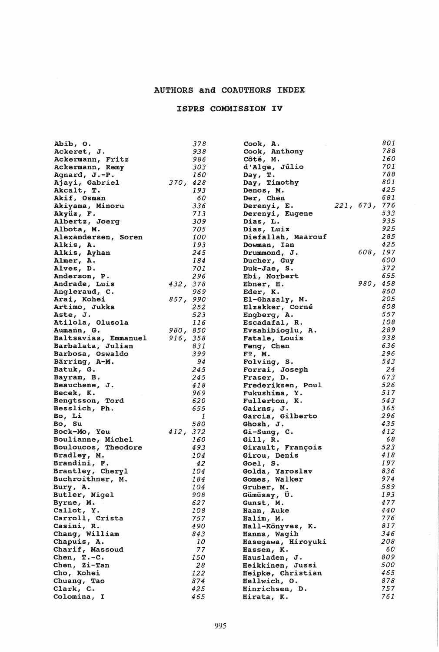## AUTHORS and COAUTHORS INDEX

## ISPRS COMMISSION IV

| Abib, O.             |          | 378 | Cook, A.           |           | 801 |
|----------------------|----------|-----|--------------------|-----------|-----|
| Ackeret, J.          |          | 938 | Cook, Anthony      |           | 788 |
| Ackermann, Fritz     |          | 986 | Côté, M.           |           | 160 |
| Ackermann, Remy      |          | 303 | d'Alge, Júlio      |           | 701 |
| Agnard, J.-P.        |          | 160 | Day, T.            |           | 788 |
| Ajayi, Gabriel       | 370, 428 |     | Day, Timothy       |           | 801 |
| Akcalt, T.           |          | 193 | Denos, M.          |           | 425 |
| Akif, Osman          |          | 60  | Der, Chen          |           | 681 |
| Akiyama, Minoru      |          | 336 | Derenyi, E.        | 221, 673, | 776 |
| Akyüz, F.            |          | 713 | Derenyi, Eugene    |           | 533 |
| Albertz, Joerg       |          | 309 | Dias, L.           |           | 935 |
| Albota, M.           |          | 705 | Dias, Luiz         |           | 925 |
|                      |          | 100 | Diefallah, Maarouf |           | 285 |
| Alexandersen, Soren  |          | 193 |                    |           | 425 |
| Alkis, A.            |          | 245 | Dowman, Ian        | 608, 197  |     |
| Alkis, Ayhan         |          |     | Drummond, J.       |           |     |
| Almer, A.            |          | 184 | Ducher, Guy        |           | 600 |
| Alves, D.            |          | 701 | Duk-Jae, S.        |           | 372 |
| Anderson, P.         |          | 296 | Ebi, Norbert       |           | 655 |
| Andrade, Luis        | 432, 378 |     | Ebner, H.          | 980,      | 458 |
| Angleraud, C.        |          | 969 | Eder, K.           |           | 850 |
| Arai, Kohei          | 857, 990 |     | El-Ghazaly, M.     |           | 205 |
| Artimo, Jukka        |          | 252 | Elzakker, Corné    |           | 608 |
| Aste, J.             |          | 523 | Engberg, A.        |           | 557 |
| Atilola, Olusola     |          | 116 | Escadafal, R.      |           | 108 |
| Aumann, G.           | 980, 850 |     | Evsahibioglu, A.   |           | 289 |
| Baltsavias, Emmanuel | 916, 358 |     | Fatale, Louis      |           | 938 |
| Barbalata, Julian    |          | 831 | Feng, Chen         |           | 636 |
| Barbosa, Oswaldo     |          | 399 | F2, M.             |           | 296 |
| Bärring, A-M.        |          | 94  | Folving, S.        |           | 543 |
| Batuk, G.            |          | 245 | Forrai, Joseph     |           | 24  |
| Bayram, B.           |          | 245 | Fraser, D.         |           | 673 |
| Beauchene, J.        |          | 418 | Frederiksen, Poul  |           | 526 |
| Becek, K.            |          | 969 | Fukushima, Y.      |           | 517 |
| Bengtsson, Tord      |          | 620 | Fullerton, K.      |           | 543 |
| Besslich, Ph.        |          | 655 | Gairns, J.         |           | 365 |
| Bo, Li               |          | 1   | Garcia, Gilberto   |           | 296 |
| Bo, Su               |          | 580 | Ghosh, J.          |           | 435 |
| Bock-Mo, Yeu         | 412, 372 |     | Gi-Sung, C.        |           | 412 |
| Boulianne, Michel    |          | 160 | Gill, $R$ .        |           | 68  |
| Bouloucos, Theodore  |          | 493 | Girault, François  |           | 523 |
| Bradley, M.          |          | 104 | Girou, Denis       |           | 418 |
| Brandini, F.         |          | 42  | Goel, S.           |           | 197 |
| Brantley, Cheryl     |          | 104 | Golda, Yaroslav    |           | 836 |
| Buchroithner, M.     |          | 184 | Gomes, Walker      |           | 974 |
| Bury, A.             |          | 104 | Gruber, M.         |           | 589 |
| Butler, Nigel        |          | 908 | Gümüsay, U.        |           | 193 |
| Byrne, M.            |          | 627 | Gunst, M.          |           | 477 |
| Callot, Y.           |          | 108 | Haan, Auke         |           | 440 |
| Carroll, Crista      |          | 757 | Halim, M.          |           | 776 |
| Casini, R.           |          | 490 | Hall-Könyves, K.   |           | 817 |
| Chang, William       |          | 843 | Hanna, Wagih       |           | 346 |
| Chapuis, A.          |          | 10  | Hasegawa, Hiroyuki |           | 208 |
| Charif, Massoud      |          | 77  | Hassen, K.         |           | 60  |
| Chen, $T.-C.$        |          | 150 | Hausladen, J.      |           | 809 |
|                      |          | 28  |                    |           | 500 |
| Chen, Zi-Tan         |          |     | Heikkinen, Jussi   |           | 465 |
| Cho, Kohei           |          | 122 | Heipke, Christian  |           | 878 |
| Chuang, Tao          |          | 874 | Hellwich, O.       |           |     |
| Clark, C.            |          | 425 | Hinrichsen, D.     |           | 757 |
| Colomina, I          |          | 465 | Hirata, K.         |           | 761 |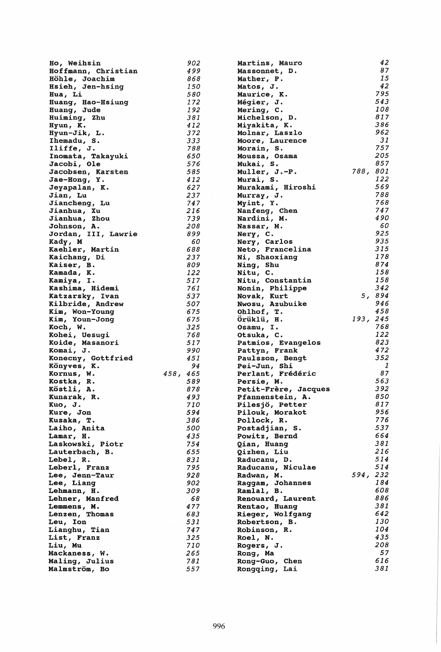| Ho, Weihsin         | 902      | Martins, Mauro       |          | 42  |
|---------------------|----------|----------------------|----------|-----|
| Hoffmann, Christian | 499      | Massonnet, D.        |          | 87  |
| Höhle, Joachim      | 868      | Mather, P.           |          | 15  |
| Hsieh, Jen-hsing    | 150      | Matos, J.            |          | 42  |
| Hua, Li             | 580      | Maurice, K.          |          | 795 |
| Huang, Hao-Hsiung   | 172      | <b>Mégier, J.</b>    |          | 543 |
| Huanq, Jude         | 192      | Mering, C.           |          | 108 |
| Huiming, Zhu        | 381      | Michelson, D.        |          | 817 |
| Hyun, K.            | 412      | Miyakita, K.         |          | 386 |
| Hyun-Jik, L.        | 372      | Molnar, Laszlo       |          | 962 |
| Ihemadu, S.         | 333      | Moore, Laurence      |          | 31  |
| Iliffe, J.          | 788      | Morain, S.           |          | 757 |
| Inomata, Takayuki   | 650      | Moussa, Osama        |          | 205 |
| Jacobi, Ole         | 576      | Mukai, S.            |          | 857 |
| Jacobsen, Karsten   | 585      | Muller, J.-P.        | 788, 801 |     |
| Jae-Hong, Y.        | 412      | Murai, S.            |          | 122 |
| Jeyapalan, K.       | 627      | Murakami, Hiroshi    |          | 569 |
| Jian, Lu            | 237      | Murray, J.           |          | 788 |
| Jiancheng, Lu       | 747      | Myint, Y.            |          | 768 |
| Jianhua, Xu         | 216      | Nanfeng, Chen        |          | 747 |
| Jianhua, Zhou       | 739      | Nardini, M.          |          | 490 |
| Johnson, A.         | 208      | Nassar, M.           |          | 60  |
| Jordan, III, Lawrie | 899      | Nery, C.             |          | 925 |
| Kady, M             | 60       | Nery, Carlos         |          | 935 |
| Kaehler, Martin     | 688      | Neto, Francelina     |          | 315 |
| Kaichang, Di        | 237      | Ni, Shaoxianq        |          | 178 |
| Kaiser, B.          | 809      | Ning, Shu            |          | 874 |
| Kamada, K.          | 122      | Nitu, C.             |          | 158 |
| Kamiya, I.          | 517      | Nitu, Constantin     |          | 158 |
| Kashima, Hidemi     | 761      | Nonin, Philippe      |          | 342 |
| Katzarsky, Ivan     | 537      | Novak, Kurt          | 5, 894   |     |
| Kilbride, Andrew    | 507      | Nwosu, Azubuike      |          | 946 |
| Kim, Won-Young      | 675      | Ohlhof, T.           |          | 458 |
| Kim, Youn-Jong      | 675      | Orüklü, H.           | 193, 245 |     |
| Koch, W.            | 325      | Osamu, I.            |          | 768 |
| Kohei, Uesugi       | 768      | Otsuka, C.           |          | 122 |
| Koide, Masanori     | 517      | Patmios, Evangelos   |          | 823 |
| Komai, J.           | 990      | Pattyn, Frank        |          | 472 |
| Konecny, Gottfried  | 451      | Paulsson, Bengt      |          | 352 |
| Könyves, K.         | 94       | Pei-Jun, Shi         |          | 1   |
| Kornus, W.          | 458, 465 | Perlant, Frédéric    |          | 87  |
| Kostka, R.          | 589      | Persie, M.           |          | 563 |
| Köstli, A.          | 878      | Petit-Frère, Jacques |          | 392 |
| Kunarak, R.         | 493      | Pfannenstein, A.     |          | 850 |
| Kuo, J.             | 710      | Pilesjö, Petter      |          | 817 |
| Kure, Jon           | 594      | Pilouk, Morakot      |          | 956 |
| Kusaka, T.          | 386      | Pollock, R.          |          | 776 |
| Laiho, Anita        | 500      | Postadjian, S.       |          | 537 |
| Lamar, H.           | 435      | Powitz, Bernd        |          | 664 |
| Laskowski, Piotr    | 754      | Qian, Huanq          |          | 381 |
| Lauterbach, B.      | 655      | Qizhen, Liu          |          | 216 |
| Lebel, R.           | 831      | Raducanu, D.         |          | 514 |
| Leberl, Franz       | 795      | Raducanu, Niculae    |          | 514 |
| Lee, Jenn-Taur      | 928      | Radwan, M.           | 594, 232 |     |
| Lee, Liang          | 902      | Raggam, Johannes     |          | 184 |
| Lehmann, H.         | 309      | Ramlal, B.           |          | 608 |
| Lehner, Manfred     | 68       | Renouard, Laurent    |          | 886 |
| Lemmens, M.         | 477      | Rentao, Huang        |          | 381 |
| Lenzen, Thomas      | 683      | Rieger, Wolfgang     |          | 642 |
| Leu, Ion            | 531      | Robertson, B.        |          | 130 |
| Lianghu, Tian       | 747      | Robinson, R.         |          | 104 |
| List, Franz         | 325      | Roel, N.             |          | 435 |
| Liu, Mu             | 710      | Rogers, J.           |          | 208 |
| Mackaness, W.       | 265      | Rong, Ma             |          | 57  |
| Maling, Julius      | 781      | Rong-Guo, Chen       |          | 616 |
| Malmström, Bo       | 557      | Rongqing, Lai        |          | 381 |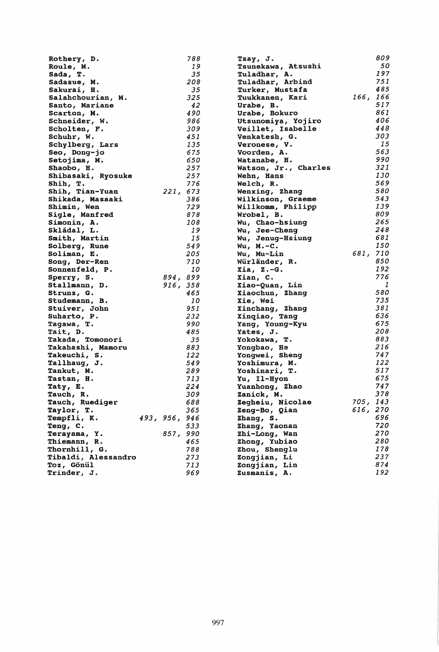| Rothery, D.         |               | 788 | Tsay, J.             |          | 809           |
|---------------------|---------------|-----|----------------------|----------|---------------|
| Roule, M.           |               | 19  | Tsunekawa, Atsushi   |          | 50            |
| Sada, T.            |               | 35  | Tuladhar, A.         |          | 197           |
| Sadasue, M.         |               | 208 | Tuladhar, Arbind     |          | 751           |
| Sakurai, H.         |               | 35  | Turker, Mustafa      |          | 485           |
|                     |               |     |                      |          |               |
| Salahchourian, M.   |               | 325 | Tuukkanen, Kari      | 166, 166 |               |
| Santo, Mariane      |               | 42  | Urabe, B.            |          | 517           |
| Scarton, M.         |               | 490 | Urabe, Bokuro        |          | 861           |
| Schneider, W.       |               | 986 | Utsunomiya, Yojiro   |          | 406           |
| Scholten, F.        |               | 309 | Veillet, Isabelle    |          | 448           |
| Schuhr, W.          |               | 451 | Venkatesh, G.        |          | 303           |
| Schylberg, Lars     |               | 135 | Veronese, V.         |          | 15            |
|                     |               |     |                      |          | 563           |
| Seo, Dong-jo        |               | 675 | Voorden, A.          |          |               |
| Setojima, M.        |               | 650 | Watanabe, H.         |          | 990           |
| Shaobo, H.          |               | 257 | Watson, Jr., Charles |          | 321           |
| Shibasaki, Ryosuke  |               | 257 | Wehn, Hans           |          | 130           |
| Shih, T.            |               | 776 | Welch, R.            |          | 569           |
| Shih, Tian-Yuan     | 221, 673      |     | Wenxing, Zhang       |          | 580           |
| Shikada, Masaaki    |               | 386 | Wilkinson, Graeme    |          | 543           |
| Shimin, Wen         |               | 729 | Willkomm, Philipp    |          | 139           |
|                     |               | 878 |                      |          | 809           |
| Sigle, Manfred      |               |     | Wrobel, B.           |          | 265           |
| Simonin, A.         |               | 108 | Wu, Chao-hsiunq      |          |               |
| Skládal, L.         |               | 19  | Wu, Jee-Cheng        |          | 248           |
| Smith, Martin       |               | 15  | Wu, Jenug-Hsiung     |          | 681           |
| Solberg, Rune       |               | 549 | $Wu, M.-C.$          |          | 150           |
| Soliman, E.         |               | 205 | Wu, Mu-Lin           | 681, 710 |               |
| Song, Der-Ren       |               | 710 | Würländer, R.        |          | 850           |
| Sonnenfeld, P.      |               | 10  | $Xi, Z.-G.$          |          | 192           |
|                     |               |     |                      |          | 776           |
| Sperry, S.          | 894, 899      |     | Xian, C.             |          |               |
| Stallmann, D.       | 916, 358      |     | Xiao-Quan, Lin       |          | $\mathcal{I}$ |
| Strunz, G.          |               | 465 | Xiaochun, Zhang      |          | 580           |
| Studemann, B.       |               | 10  | Xie, Wei             |          | 735           |
| Stuiver, John       |               | 951 | Xinchang, Zhang      |          | 381           |
| Suharto, P.         |               | 232 | Xinqiao, Tang        |          | 636           |
| Tagawa, T.          |               | 990 | Yang, Young-Kyu      |          | 675           |
| Tait, D.            |               | 485 | Yates, J.            |          | 208           |
| Takada, Tomonori    |               | 35  | Yokokawa, T.         |          | 883           |
|                     |               | 883 | Yongbao, He          |          | 216           |
| Takahashi, Mamoru   |               |     |                      |          | 747           |
| Takeuchi, S.        |               | 122 | Yongwei, Sheng       |          |               |
| Tallhaug, J.        |               | 549 | Yoshimura, M.        |          | 122           |
| Tankut, M.          |               | 289 | Yoshinari, T.        |          | 517           |
| Tastan, H.          |               | 713 | Yu, Il-Hyon          |          | 675           |
| Taty, E.            |               | 224 | Yuanhong, Zhao       |          | 747           |
| Tauch, R.           |               | 309 | Zanick, M.           |          | 378           |
| Tauch, Ruediger     |               | 688 | Zegheiu, Nicolae     | 705, 143 |               |
| Taylor, T.          |               | 365 | Zeng-Bo, Qian        | 616, 270 |               |
| Tempfli, K.         | 493, 956, 946 |     | Zhang, S.            |          | 696           |
|                     |               |     |                      |          |               |
| Teng, C.            |               | 533 | Zhang, Yaonan        |          | 720           |
| Terayama, Y.        | 857, 990      |     | Zhi-Long, Wan        |          | 270           |
| Thiemann, R.        |               | 465 | Zhong, Yubiao        |          | 280           |
| Thornhill, G.       |               | 788 | Zhou, Shenglu        |          | 178           |
| Tibaldi, Alessandro |               | 273 | Zongjian, Li         |          | 237           |
| Toz, Gönül          |               | 713 | Zongjian, Lin        |          | 874           |
| Trinder, J.         |               | 969 | Zusmanis, A.         |          | 192           |
|                     |               |     |                      |          |               |